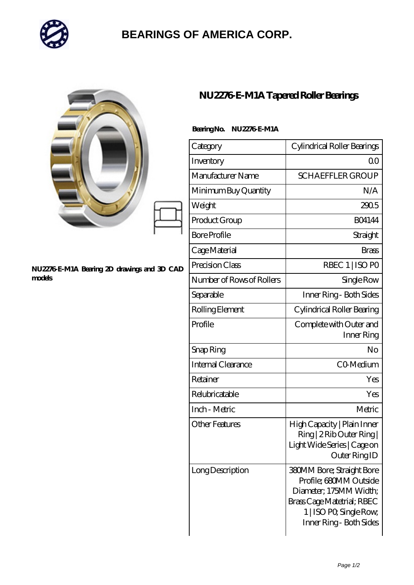

## **[BEARINGS OF AMERICA CORP.](https://ltg-aerob-systems.de)**

|                                                       | NU2276 E-M1A Tapered Roller Bearings |                                                                                                                                                                          |
|-------------------------------------------------------|--------------------------------------|--------------------------------------------------------------------------------------------------------------------------------------------------------------------------|
|                                                       | BearingNo. NU2276E-M1A               |                                                                                                                                                                          |
|                                                       | Category                             | Cylindrical Roller Bearings                                                                                                                                              |
|                                                       | Inventory                            | 0 <sub>0</sub>                                                                                                                                                           |
|                                                       | Manufacturer Name                    | <b>SCHAEFFLER GROUP</b>                                                                                                                                                  |
|                                                       | Minimum Buy Quantity                 | N/A                                                                                                                                                                      |
|                                                       | Weight                               | 2905                                                                                                                                                                     |
|                                                       | Product Group                        | <b>BO4144</b>                                                                                                                                                            |
|                                                       | <b>Bore Profile</b>                  | Straight                                                                                                                                                                 |
|                                                       | Cage Material                        | <b>Brass</b>                                                                                                                                                             |
| NU2276 E-M1A Bearing 2D drawings and 3D CAD<br>models | Precision Class                      | RBEC 1   ISO PO                                                                                                                                                          |
|                                                       | Number of Rows of Rollers            | Single Row                                                                                                                                                               |
|                                                       | Separable                            | Inner Ring - Both Sides                                                                                                                                                  |
|                                                       | Rolling Element                      | Cylindrical Roller Bearing                                                                                                                                               |
|                                                       | Profile                              | Complete with Outer and<br>Inner Ring                                                                                                                                    |
|                                                       | Snap Ring                            | N <sub>o</sub>                                                                                                                                                           |
|                                                       | Internal Clearance                   | CO-Medium                                                                                                                                                                |
|                                                       | Retainer                             | Yes                                                                                                                                                                      |
|                                                       | Relubricatable                       | Yes                                                                                                                                                                      |
|                                                       | Inch - Metric                        | Metric                                                                                                                                                                   |
|                                                       | <b>Other Features</b>                | High Capacity   Plain Inner<br>Ring   2 Rib Outer Ring  <br>Light Wide Series   Cage on<br>Outer Ring ID                                                                 |
|                                                       | Long Description                     | <b>380MM Bore; Straight Bore</b><br>Profile; 680MM Outside<br>Diameter; 175MM Width;<br>Brass Cage Matetrial; RBEC<br>1   ISO PO, Single Row,<br>Inner Ring - Both Sides |